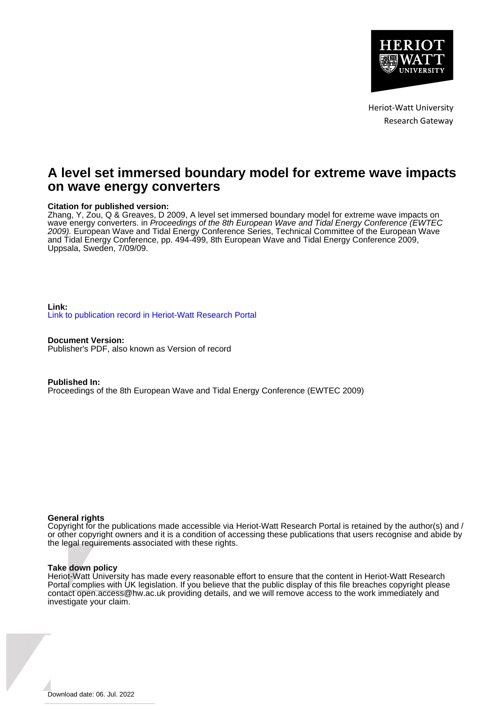

Heriot-Watt University Research Gateway

# **A level set immersed boundary model for extreme wave impacts on wave energy converters**

#### **Citation for published version:**

Zhang, Y, Zou, Q & Greaves, D 2009, A level set immersed boundary model for extreme wave impacts on wave energy converters. in Proceedings of the 8th European Wave and Tidal Energy Conference (EWTEC 2009). European Wave and Tidal Energy Conference Series, Technical Committee of the European Wave and Tidal Energy Conference, pp. 494-499, 8th European Wave and Tidal Energy Conference 2009, Uppsala, Sweden, 7/09/09.

**Link:** [Link to publication record in Heriot-Watt Research Portal](https://researchportal.hw.ac.uk/en/publications/8b6c54e2-ac8d-4b7e-903f-ca4f6ad70403)

**Document Version:** Publisher's PDF, also known as Version of record

**Published In:**

Proceedings of the 8th European Wave and Tidal Energy Conference (EWTEC 2009)

#### **General rights**

Copyright for the publications made accessible via Heriot-Watt Research Portal is retained by the author(s) and / or other copyright owners and it is a condition of accessing these publications that users recognise and abide by the legal requirements associated with these rights.

#### **Take down policy**

Heriot-Watt University has made every reasonable effort to ensure that the content in Heriot-Watt Research Portal complies with UK legislation. If you believe that the public display of this file breaches copyright please contact open.access@hw.ac.uk providing details, and we will remove access to the work immediately and investigate your claim.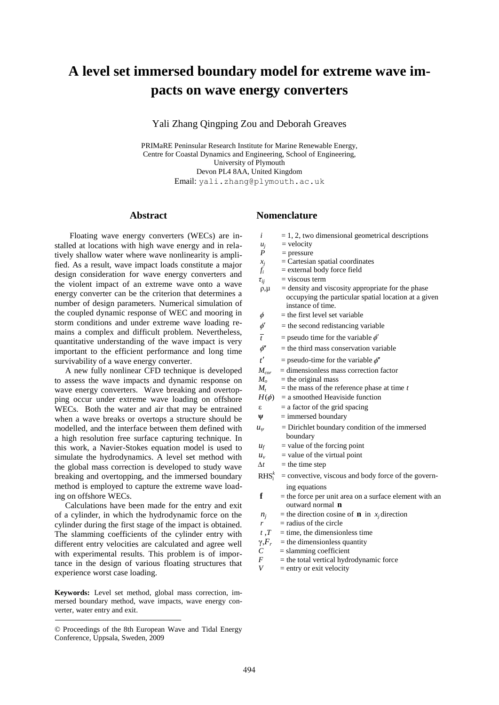# **A level set immersed boundary model for extreme wave impacts on wave energy converters**

Yali Zhang Qingping Zou and Deborah Greaves

PRIMaRE Peninsular Research Institute for Marine Renewable Energy, Centre for Coastal Dynamics and Engineering, School of Engineering, University of Plymouth Devon PL4 8AA, United Kingdom Email: yali.zhang@plymouth.ac.uk

# **Abstract**

 Floating wave energy converters (WECs) are installed at locations with high wave energy and in relatively shallow water where wave nonlinearity is amplified. As a result, wave impact loads constitute a major design consideration for wave energy converters and the violent impact of an extreme wave onto a wave energy converter can be the criterion that determines a number of design parameters. Numerical simulation of the coupled dynamic response of WEC and mooring in storm conditions and under extreme wave loading remains a complex and difficult problem. Nevertheless, quantitative understanding of the wave impact is very important to the efficient performance and long time survivability of a wave energy converter.

 A new fully nonlinear CFD technique is developed to assess the wave impacts and dynamic response on wave energy converters. Wave breaking and overtopping occur under extreme wave loading on offshore WECs. Both the water and air that may be entrained when a wave breaks or overtops a structure should be modelled, and the interface between them defined with a high resolution free surface capturing technique. In this work, a Navier-Stokes equation model is used to simulate the hydrodynamics. A level set method with the global mass correction is developed to study wave breaking and overtopping, and the immersed boundary method is employed to capture the extreme wave loading on offshore WECs.

 Calculations have been made for the entry and exit of a cylinder, in which the hydrodynamic force on the cylinder during the first stage of the impact is obtained. The slamming coefficients of the cylinder entry with different entry velocities are calculated and agree well with experimental results. This problem is of importance in the design of various floating structures that experience worst case loading.

**Keywords:** Level set method, global mass correction, immersed boundary method, wave impacts, wave energy converter, water entry and exit.

# **Nomenclature**

- $i = 1, 2$ , two dimensional geometrical descriptions
- $u_j$  = velocity<br> $P$  = pressure
- = pressure
- $x_j$  = Cartesian spatial coordinates<br> $f_i$  = external body force field
- *fi* = external body force field

 $\tau_{ii}$  = viscous term

- $\rho, \mu$  = density and viscosity appropriate for the phase occupying the particular spatial location at a given instance of time.
- $\phi$  = the first level set variable
- $\phi'$ = the second redistancing variable
- $\overline{t}$  = pseudo time for the variable  $\phi'$
- $\phi$ "  $=$  the third mass conservation variable
- *t*  $=$  pseudo-time for the variable  $\phi''$
- $M_{cor}$  = dimensionless mass correction factor<br> $M_{o}$  = the original mass
- $M_o$  = the original mass<br> $M_t$  = the mass of the re
- $=$  the mass of the reference phase at time *t*
- $H(\phi)$  = a smoothed Heaviside function
- $\epsilon$  = a factor of the grid spacing
- $\Psi$  = immersed boundary
- $u_w$  = Dirichlet boundary condition of the immersed boundary
- $u_f$  = value of the forcing point
- $u_v$  = value of the virtual point
- $\Delta t$  = the time step
- $RHS<sub>i</sub><sup>k</sup>$  = convective, viscous and body force of the governing equations
- $f =$  the force per unit area on a surface element with an outward normal **n**
- $n_j$  = the direction cosine of **n** in *x<sub>j</sub>* direction
- $\bf{r}$  = radius of the circle
- $t \cdot T$  = time, the dimensionless time
- $\gamma$ , $F_r$  = the dimensionless quantity
- $C =$ slamming coefficient<br> $F =$ the total vertical hydr
- $F =$  the total vertical hydrodynamic force
- = entry or exit velocity

<sup>©</sup> Proceedings of the 8th European Wave and Tidal Energy Conference, Uppsala, Sweden, 2009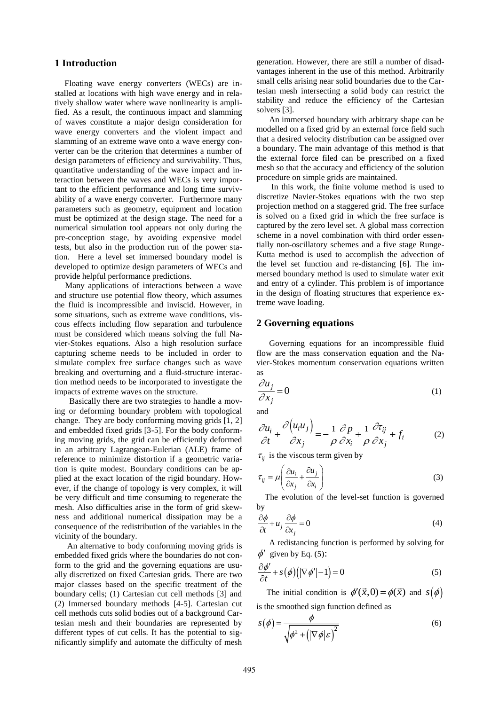## **1 Introduction**

 Floating wave energy converters (WECs) are installed at locations with high wave energy and in relatively shallow water where wave nonlinearity is amplified. As a result, the continuous impact and slamming of waves constitute a major design consideration for wave energy converters and the violent impact and slamming of an extreme wave onto a wave energy converter can be the criterion that determines a number of design parameters of efficiency and survivability. Thus, quantitative understanding of the wave impact and interaction between the waves and WECs is very important to the efficient performance and long time survivability of a wave energy converter. Furthermore many parameters such as geometry, equipment and location must be optimized at the design stage. The need for a numerical simulation tool appears not only during the pre-conception stage, by avoiding expensive model tests, but also in the production run of the power station. Here a level set immersed boundary model is developed to optimize design parameters of WECs and provide helpful performance predictions.

 Many applications of interactions between a wave and structure use potential flow theory, which assumes the fluid is incompressible and inviscid. However, in some situations, such as extreme wave conditions, viscous effects including flow separation and turbulence must be considered which means solving the full Navier-Stokes equations. Also a high resolution surface capturing scheme needs to be included in order to simulate complex free surface changes such as wave breaking and overturning and a fluid-structure interaction method needs to be incorporated to investigate the impacts of extreme waves on the structure.

 Basically there are two strategies to handle a moving or deforming boundary problem with topological change. They are body conforming moving grids [1, 2] and embedded fixed grids [3-5]. For the body conforming moving grids, the grid can be efficiently deformed in an arbitrary Lagrangean-Eulerian (ALE) frame of reference to minimize distortion if a geometric variation is quite modest. Boundary conditions can be applied at the exact location of the rigid boundary. However, if the change of topology is very complex, it will be very difficult and time consuming to regenerate the mesh. Also difficulties arise in the form of grid skewness and additional numerical dissipation may be a consequence of the redistribution of the variables in the vicinity of the boundary.

 An alternative to body conforming moving grids is embedded fixed grids where the boundaries do not conform to the grid and the governing equations are usually discretized on fixed Cartesian grids. There are two major classes based on the specific treatment of the boundary cells; (1) Cartesian cut cell methods [3] and (2) Immersed boundary methods [4-5]. Cartesian cut cell methods cuts solid bodies out of a background Cartesian mesh and their boundaries are represented by different types of cut cells. It has the potential to significantly simplify and automate the difficulty of mesh generation. However, there are still a number of disadvantages inherent in the use of this method. Arbitrarily small cells arising near solid boundaries due to the Cartesian mesh intersecting a solid body can restrict the stability and reduce the efficiency of the Cartesian solvers [3].

 An immersed boundary with arbitrary shape can be modelled on a fixed grid by an external force field such that a desired velocity distribution can be assigned over a boundary. The main advantage of this method is that the external force filed can be prescribed on a fixed mesh so that the accuracy and efficiency of the solution procedure on simple grids are maintained.

 In this work, the finite volume method is used to discretize Navier-Stokes equations with the two step projection method on a staggered grid. The free surface is solved on a fixed grid in which the free surface is captured by the zero level set. A global mass correction scheme in a novel combination with third order essentially non-oscillatory schemes and a five stage Runge-Kutta method is used to accomplish the advection of the level set function and re-distancing [6]. The immersed boundary method is used to simulate water exit and entry of a cylinder. This problem is of importance in the design of floating structures that experience extreme wave loading.

#### **2 Governing equations**

 Governing equations for an incompressible fluid flow are the mass conservation equation and the Navier-Stokes momentum conservation equations written as

$$
\frac{\partial u_j}{\partial x_j} = 0 \tag{1}
$$

and

and  
\n
$$
\frac{\partial u_i}{\partial t} + \frac{\partial (u_i u_j)}{\partial x_j} = -\frac{1}{\rho} \frac{\partial p}{\partial x_i} + \frac{1}{\rho} \frac{\partial \tau_{ij}}{\partial x_j} + f_i
$$
\n(2)

 $\tau_{ij}$  is the viscous term given by

$$
\tau_{ij} = \mu \left( \frac{\partial u_i}{\partial x_j} + \frac{\partial u_j}{\partial x_i} \right)
$$
 (3)

 The evolution of the level-set function is governed by

$$
\frac{\partial \phi}{\partial t} + u_j \frac{\partial \phi}{\partial x_j} = 0
$$
\n(4)

 A redistancing function is performed by solving for  $\phi'$  given by Eq. (5):

$$
\frac{\partial \phi'}{\partial \overline{t}} + s(\phi) \big( |\nabla \phi'| - 1 \big) = 0 \tag{5}
$$

The initial condition is  $\phi'(\vec{x},0) = \phi(\vec{x})$  and  $s(\phi)$ is the smoothed sign function defined as

$$
s(\phi) = \frac{\phi}{\sqrt{\phi^2 + (\left|\nabla\phi\right|\varepsilon)^2}}
$$
(6)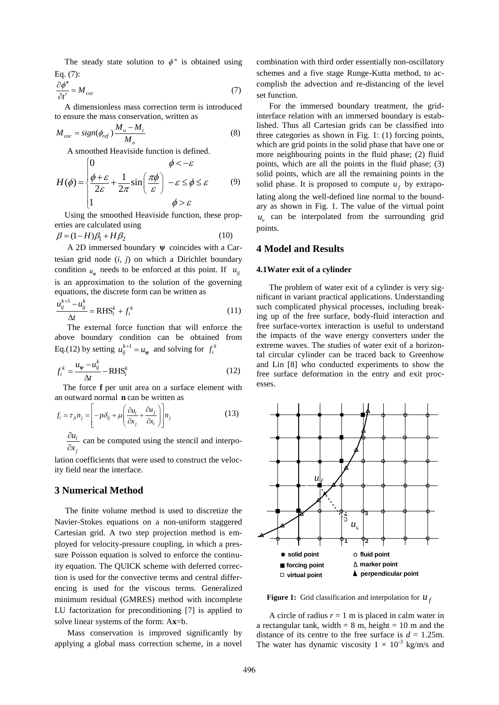The steady state solution to  $\phi$ " is obtained using Eq. (7):

$$
\frac{\partial \phi''}{\partial t'} = M_{cor} \tag{7}
$$

 A dimensionless mass correction term is introduced to ensure the mass conservation, written as

$$
M_{cor} = sign(\phi_{ref}) \frac{M_o - M_t}{M_o}
$$
 (8)

A smoothed Heaviside function is defined.<br>  $\begin{cases} 0 & \phi < -\varepsilon \end{cases}$ 

$$
H(\phi) = \begin{cases} 0 & \phi < -\varepsilon \\ \frac{\phi + \varepsilon}{2\varepsilon} + \frac{1}{2\pi} \sin\left(\frac{\pi\phi}{\varepsilon}\right) & -\varepsilon \le \phi \le \varepsilon \\ 1 & \phi > \varepsilon \end{cases}
$$
 (9)

 Using the smoothed Heaviside function, these properties are calculated using

$$
\beta = (1 - H)\beta_1 + H\beta_2\tag{10}
$$

A 2D immersed boundary  $\psi$  coincides with a Cartesian grid node (*i, j*) on which a Dirichlet boundary condition  $u_{\psi}$  needs to be enforced at this point. If  $u_{ij}$ is an approximation to the solution of the governing equations, the discrete form can be written as

$$
\frac{u_{ij}^{k+1} - u_{ij}^k}{\Delta t} = \text{RHS}_i^k + f_i^k \tag{11}
$$

 The external force function that will enforce the above boundary condition can be obtained from Eq.(12) by setting  $u_{ij}^{k+1} = u_{\psi}$  and solving for  $f_i^k$ 

$$
f_i^k = \frac{u_{\psi} - u_{ij}^k}{\Delta t} - \text{RHS}_i^k
$$
 (12)

The force **f** per unit area on a surface element with

an outward normal **n** can be written as  
\n
$$
f_i = \tau_{ji} n_j = \left[ -p\delta_{ij} + \mu \left( \frac{\partial u_i}{\partial x_j} + \frac{\partial u_j}{\partial x_i} \right) \right] n_j
$$
\n(13)

*i u j x*  $\partial$  $\frac{\partial u_i}{\partial x_i}$  can be computed using the stencil and interpo-

lation coefficients that were used to construct the velocity field near the interface.

# **3 Numerical Method**

 The finite volume method is used to discretize the Navier-Stokes equations on a non-uniform staggered Cartesian grid. A two step projection method is employed for velocity-pressure coupling, in which a pressure Poisson equation is solved to enforce the continuity equation. The QUICK scheme with deferred correction is used for the convective terms and central differencing is used for the viscous terms. Generalized minimum residual (GMRES) method with incomplete LU factorization for preconditioning [7] is applied to solve linear systems of the form: A**x**=b.

 Mass conservation is improved significantly by applying a global mass correction scheme, in a novel combination with third order essentially non-oscillatory schemes and a five stage Runge-Kutta method, to accomplish the advection and re-distancing of the level set function.

 For the immersed boundary treatment, the gridinterface relation with an immersed boundary is established. Thus all Cartesian grids can be classified into three categories as shown in Fig. 1: (1) forcing points, which are grid points in the solid phase that have one or more neighbouring points in the fluid phase; (2) fluid points, which are all the points in the fluid phase; (3) solid points, which are all the remaining points in the solid phase. It is proposed to compute  $u_f$  by extrapolating along the well-defined line normal to the boundary as shown in Fig. 1. The value of the virtual point  $u_v$  can be interpolated from the surrounding grid points.

#### **4 Model and Results**

#### **4.1Water exit of a cylinder**

 The problem of water exit of a cylinder is very significant in variant practical applications. Understanding such complicated physical processes, including breaking up of the free surface, body-fluid interaction and free surface-vortex interaction is useful to understand the impacts of the wave energy converters under the extreme waves. The studies of water exit of a horizontal circular cylinder can be traced back to Greenhow and Lin [8] who conducted experiments to show the free surface deformation in the entry and exit processes.



**Figure 1:** Grid classification and interpolation for  $u_j$ 

A circle of radius  $r = 1$  m is placed in calm water in a rectangular tank, width  $= 8$  m, height  $= 10$  m and the distance of its centre to the free surface is  $d = 1.25$ m. The water has dynamic viscosity  $1 \times 10^{-3}$  kg/m/s and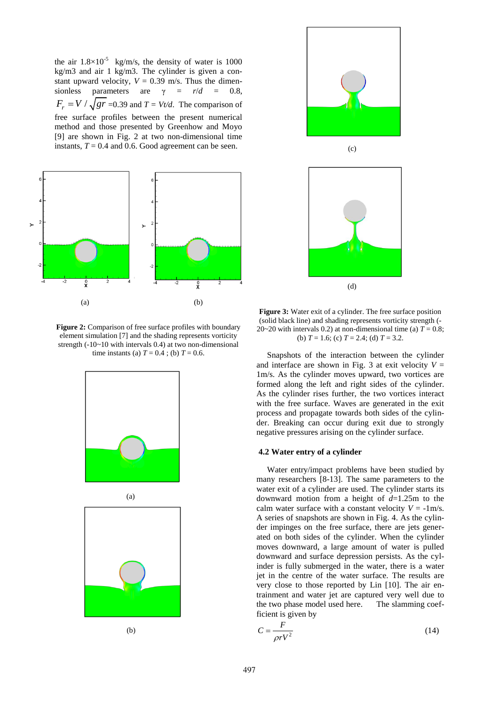the air  $1.8 \times 10^{-5}$  kg/m/s, the density of water is 1000 kg/m3 and air 1 kg/m3. The cylinder is given a constant upward velocity,  $V = 0.39$  m/s. Thus the dimensionless parameters are  $\gamma = r/d = 0.8$ ,  $F_r = V / \sqrt{gr} = 0.39$  and  $T = Vt/d$ . The comparison of free surface profiles between the present numerical method and those presented by Greenhow and Moyo [9] are shown in Fig. 2 at two non-dimensional time instants,  $T = 0.4$  and 0.6. Good agreement can be seen.



**Figure 2:** Comparison of free surface profiles with boundary element simulation [7] and the shading represents vorticity strength  $(-10-10$  with intervals 0.4) at two non-dimensional time instants (a)  $T = 0.4$ ; (b)  $T = 0.6$ .





(b)



(c)



**Figure 3:** Water exit of a cylinder. The free surface position (solid black line) and shading represents vorticity strength (- 20~20 with intervals 0.2) at non-dimensional time (a)  $T = 0.8$ ; (b)  $T = 1.6$ ; (c)  $T = 2.4$ ; (d)  $T = 3.2$ .

 Snapshots of the interaction between the cylinder and interface are shown in Fig. 3 at exit velocity  $V =$ 1m/s. As the cylinder moves upward, two vortices are formed along the left and right sides of the cylinder. As the cylinder rises further, the two vortices interact with the free surface. Waves are generated in the exit process and propagate towards both sides of the cylinder. Breaking can occur during exit due to strongly negative pressures arising on the cylinder surface.

#### **4.2 Water entry of a cylinder**

 Water entry/impact problems have been studied by many researchers [8-13]. The same parameters to the water exit of a cylinder are used. The cylinder starts its downward motion from a height of *d*=1.25m to the calm water surface with a constant velocity  $V = -1$ m/s. A series of snapshots are shown in Fig. 4. As the cylinder impinges on the free surface, there are jets generated on both sides of the cylinder. When the cylinder moves downward, a large amount of water is pulled downward and surface depression persists. As the cylinder is fully submerged in the water, there is a water jet in the centre of the water surface. The results are very close to those reported by Lin [10]. The air entrainment and water jet are captured very well due to the two phase model used here. The slamming coefficient is given by

$$
C = \frac{F}{\rho r V^2} \tag{14}
$$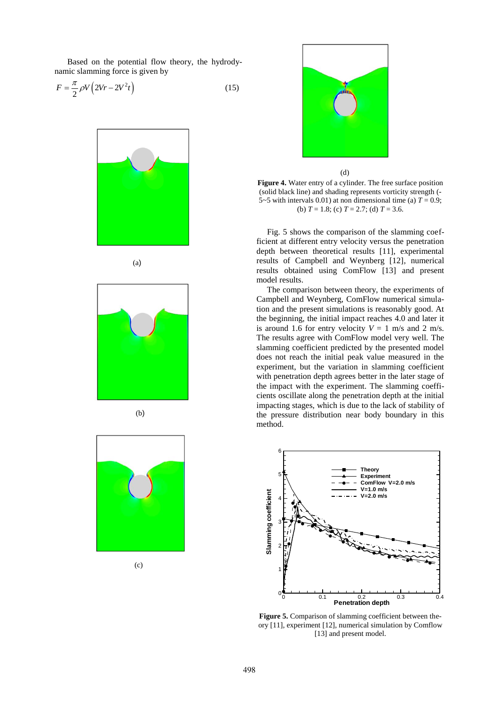Based on the potential flow theory, the hydrodynamic slamming force is given by

$$
F = \frac{\pi}{2} \rho V \left( 2Vr - 2V^2 t \right) \tag{15}
$$



(a)



(b)



(c)



(d)

**Figure 4.** Water entry of a cylinder. The free surface position (solid black line) and shading represents vorticity strength (- 5~5 with intervals 0.01) at non dimensional time (a)  $T = 0.9$ ; (b)  $T = 1.8$ ; (c)  $T = 2.7$ ; (d)  $T = 3.6$ .

Fig. 5 shows the comparison of the slamming coefficient at different entry velocity versus the penetration depth between theoretical results [11], experimental results of Campbell and Weynberg [12], numerical results obtained using ComFlow [13] and present model results.

The comparison between theory, the experiments of Campbell and Weynberg, ComFlow numerical simulation and the present simulations is reasonably good. At the beginning, the initial impact reaches 4.0 and later it is around 1.6 for entry velocity  $V = 1$  m/s and 2 m/s. The results agree with ComFlow model very well. The slamming coefficient predicted by the presented model does not reach the initial peak value measured in the experiment, but the variation in slamming coefficient with penetration depth agrees better in the later stage of the impact with the experiment. The slamming coefficients oscillate along the penetration depth at the initial impacting stages, which is due to the lack of stability of the pressure distribution near body boundary in this method.



Figure 5. Comparison of slamming coefficient between theory [11], experiment [12], numerical simulation by Comflow [13] and present model.